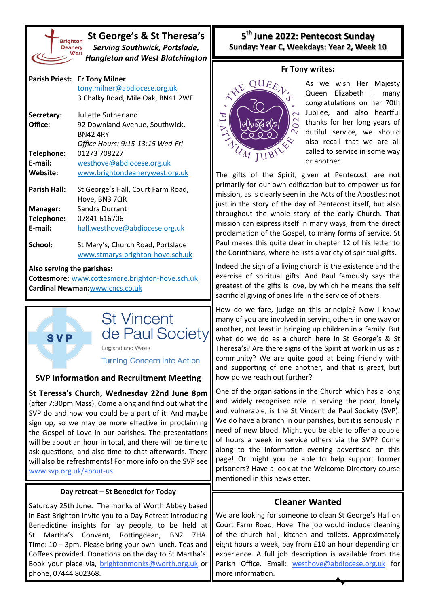

**SVP** 

**St George's & St Theresa's** *Serving Southwick, Portslade, Hangleton and West Blatchington*

|                                                 | Parish Priest: Fr Tony Milner      |  |  |
|-------------------------------------------------|------------------------------------|--|--|
|                                                 | tony.milner@abdiocese.org.uk       |  |  |
|                                                 | 3 Chalky Road, Mile Oak, BN41 2WF  |  |  |
| Secretary:                                      | Juliette Sutherland                |  |  |
| Office:                                         | 92 Downland Avenue, Southwick,     |  |  |
|                                                 | <b>BN424RY</b>                     |  |  |
|                                                 | Office Hours: 9:15-13:15 Wed-Fri   |  |  |
| Telephone:                                      | 01273 708227                       |  |  |
| E-mail:                                         | westhove@abdiocese.org.uk          |  |  |
| Website:                                        | www.brightondeanerywest.org.uk     |  |  |
| <b>Parish Hall:</b>                             | St George's Hall, Court Farm Road, |  |  |
|                                                 | Hove, BN3 7QR                      |  |  |
| <b>Manager:</b>                                 | Sandra Durrant                     |  |  |
| Telephone:                                      | 07841 616706                       |  |  |
| E-mail:                                         | hall.westhove@abdiocese.org.uk     |  |  |
| School:                                         | St Mary's, Church Road, Portslade  |  |  |
|                                                 | www.stmarys.brighton-hove.sch.uk   |  |  |
| Also serving the parishes:                      |                                    |  |  |
| Cottesmore: www.cottesmore.brighton-hove.sch.uk |                                    |  |  |
| Cardinal Newman: www.cncs.co.uk                 |                                    |  |  |



England and Wales

**Turning Concern into Action** 

### **SVP Information and Recruitment Meeting**

**St Teressa's Church, Wednesday 22nd June 8pm**  (after 7:30pm Mass). Come along and find out what the SVP do and how you could be a part of it. And maybe sign up, so we may be more effective in proclaiming the Gospel of Love in our parishes. The presentations will be about an hour in total, and there will be time to ask questions, and also time to chat afterwards. There will also be refreshments! For more info on the SVP see [www.svp.org.uk/about](http://www.svp.org.uk/about-us)-us

#### **Day retreat – St Benedict for Today**

Saturday 25th June. The monks of Worth Abbey based in East Brighton invite you to a Day Retreat introducing Benedictine insights for lay people, to be held at St Martha's Convent, Rottingdean, BN2 7HA. Time: 10 – 3pm. Please bring your own lunch. Teas and Coffees provided. Donations on the day to St Martha's. Book your place via, [brightonmonks@worth.org.uk](mailto:brightonmonks@worth.org.uk) or phone, 07444 802368.

# **5 th June 2022: Pentecost Sunday Sunday: Year C, Weekdays: Year 2, Week 10**

#### **Fr Tony writes:**



As we wish Her Majesty Queen Elizabeth II many congratulations on her 70th Jubilee, and also heartful thanks for her long years of dutiful service, we should also recall that we are all called to service in some way or another.

The gifts of the Spirit, given at Pentecost, are not primarily for our own edification but to empower us for mission, as is clearly seen in the Acts of the Apostles: not just in the story of the day of Pentecost itself, but also throughout the whole story of the early Church. That mission can express itself in many ways, from the direct proclamation of the Gospel, to many forms of service. St Paul makes this quite clear in chapter 12 of his letter to the Corinthians, where he lists a variety of spiritual gifts.

Indeed the sign of a living church is the existence and the exercise of spiritual gifts. And Paul famously says the greatest of the gifts is love, by which he means the self sacrificial giving of ones life in the service of others.

How do we fare, judge on this principle? Now I know many of you are involved in serving others in one way or another, not least in bringing up children in a family. But what do we do as a church here in St George's & St Theresa's? Are there signs of the Spirit at work in us as a community? We are quite good at being friendly with and supporting of one another, and that is great, but how do we reach out further?

One of the organisations in the Church which has a long and widely recognised role in serving the poor, lonely and vulnerable, is the St Vincent de Paul Society (SVP). We do have a branch in our parishes, but it is seriously in need of new blood. Might you be able to offer a couple of hours a week in service others via the SVP? Come along to the information evening advertised on this page! Or might you be able to help support former prisoners? Have a look at the Welcome Directory course mentioned in this newsletter.

# **Cleaner Wanted**

We are looking for someone to clean St George's Hall on Court Farm Road, Hove. The job would include cleaning of the church hall, kitchen and toilets. Approximately eight hours a week, pay from £10 an hour depending on experience. A full job description is available from the Parish Office. Email: [westhove@](mailto:westhove@abdiocese.org.uk?subject=westhove@abdiocese.org.uk)[abdiocese.org.uk](mailto:tony.milner@abdiocese.org.uk?subject=I%20am%20interested%20in%20the%20post%20of%20Parish%20Secretary) for more information.